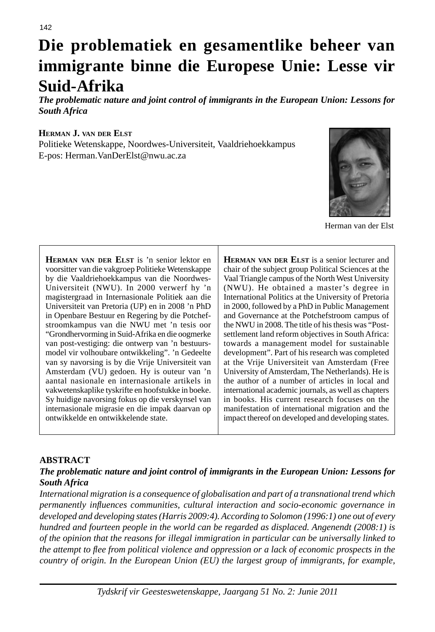# **Die problematiek en gesamentlike beheer van immigrante binne die Europese Unie: Lesse vir Suid-Afrika**

*The problematic nature and joint control of immigrants in the European Union: Lessons for South Africa* 

#### **HERMAN J. VAN DER ELST**

Politieke Wetenskappe, Noordwes-Universiteit, Vaaldriehoekkampus E-pos: Herman.VanDerElst@nwu.ac.za



Herman van der Elst

**HERMAN VAN DER ELST** is 'n senior lektor en voorsitter van die vakgroep Politieke Wetenskappe by die Vaaldriehoekkampus van die Noordwes-Universiteit (NWU). In 2000 verwerf hy 'n magistergraad in Internasionale Politiek aan die Universiteit van Pretoria (UP) en in 2008 'n PhD in Openbare Bestuur en Regering by die Potchefstroomkampus van die NWU met 'n tesis oor "Grondhervorming in Suid-Afrika en die oogmerke van post-vestiging: die ontwerp van 'n bestuursmodel vir volhoubare ontwikkeling". 'n Gedeelte van sy navorsing is by die Vrije Universiteit van Amsterdam (VU) gedoen. Hy is outeur van 'n aantal nasionale en internasionale artikels in vakwetenskaplike tyskrifte en hoofstukke in boeke. Sy huidige navorsing fokus op die verskynsel van internasionale migrasie en die impak daarvan op ontwikkelde en ontwikkelende state.

**HERMAN VAN DER ELST** is a senior lecturer and chair of the subject group Political Sciences at the Vaal Triangle campus of the North West University (NWU). He obtained a master's degree in International Politics at the University of Pretoria in 2000, followed by a PhD in Public Management and Governance at the Potchefstroom campus of the NWU in 2008. The title of his thesis was "Postsettlement land reform objectives in South Africa: towards a management model for sustainable development". Part of his research was completed at the Vrije Universiteit van Amsterdam (Free University of Amsterdam, The Netherlands). He is the author of a number of articles in local and international academic journals, as well as chapters in books. His current research focuses on the manifestation of international migration and the impact thereof on developed and developing states.

#### **ABSTRACT**

#### *The problematic nature and joint control of immigrants in the European Union: Lessons for South Africa*

*International migration is a consequence of globalisation and part of a transnational trend which permanently infl uences communities, cultural interaction and socio-economic governance in developed and developing states (Harris 2009:4). According to Solomon (1996:1) one out of every hundred and fourteen people in the world can be regarded as displaced. Angenendt (2008:1) is of the opinion that the reasons for illegal immigration in particular can be universally linked to the attempt to fl ee from political violence and oppression or a lack of economic prospects in the country of origin. In the European Union (EU) the largest group of immigrants, for example,*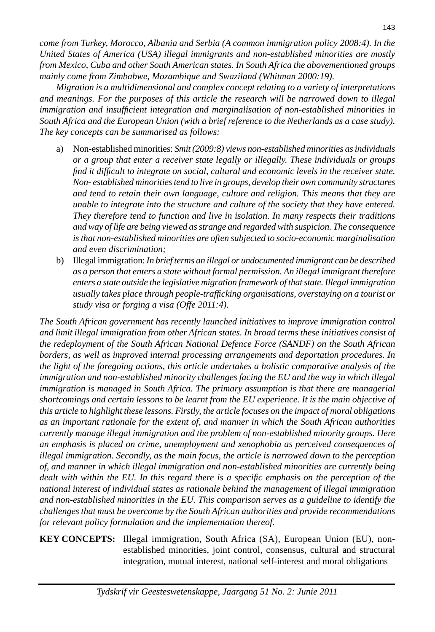*come from Turkey, Morocco, Albania and Serbia (A common immigration policy 2008:4). In the United States of America (USA) illegal immigrants and non-established minorities are mostly from Mexico, Cuba and other South American states. In South Africa the abovementioned groups mainly come from Zimbabwe, Mozambique and Swaziland (Whitman 2000:19).* 

 *Migration is a multidimensional and complex concept relating to a variety of interpretations and meanings. For the purposes of this article the research will be narrowed down to illegal immigration and insufficient integration and marginalisation of non-established minorities in South Africa and the European Union (with a brief reference to the Netherlands as a case study). The key concepts can be summarised as follows:*

- a) Non-established minorities: *Smit (2009:8) views non-established minorities as individuals or a group that enter a receiver state legally or illegally. These individuals or groups fi nd it diffi cult to integrate on social, cultural and economic levels in the receiver state. Non- established minorities tend to live in groups, develop their own community structures and tend to retain their own language, culture and religion. This means that they are unable to integrate into the structure and culture of the society that they have entered. They therefore tend to function and live in isolation. In many respects their traditions and way of life are being viewed as strange and regarded with suspicion. The consequence is that non-established minorities are often subjected to socio-economic marginalisation and even discrimination;*
- b) Illegal immigration: *In brief terms an illegal or undocumented immigrant can be described as a person that enters a state without formal permission. An illegal immigrant therefore enters a state outside the legislative migration framework of that state. Illegal immigration usually takes place through people-traffi cking organisations, overstaying on a tourist or study visa or forging a visa (Offe 2011:4).*

*The South African government has recently launched initiatives to improve immigration control and limit illegal immigration from other African states. In broad terms these initiatives consist of the redeployment of the South African National Defence Force (SANDF) on the South African borders, as well as improved internal processing arrangements and deportation procedures. In the light of the foregoing actions, this article undertakes a holistic comparative analysis of the immigration and non-established minority challenges facing the EU and the way in which illegal immigration is managed in South Africa. The primary assumption is that there are managerial shortcomings and certain lessons to be learnt from the EU experience. It is the main objective of this article to highlight these lessons. Firstly, the article focuses on the impact of moral obligations as an important rationale for the extent of, and manner in which the South African authorities currently manage illegal immigration and the problem of non-established minority groups. Here an emphasis is placed on crime, unemployment and xenophobia as perceived consequences of illegal immigration. Secondly, as the main focus, the article is narrowed down to the perception of, and manner in which illegal immigration and non-established minorities are currently being dealt with within the EU. In this regard there is a specifi c emphasis on the perception of the national interest of individual states as rationale behind the management of illegal immigration and non-established minorities in the EU. This comparison serves as a guideline to identify the challenges that must be overcome by the South African authorities and provide recommendations for relevant policy formulation and the implementation thereof.*

#### **KEY CONCEPTS:** Illegal immigration, South Africa (SA), European Union (EU), nonestablished minorities, joint control, consensus, cultural and structural integration, mutual interest, national self-interest and moral obligations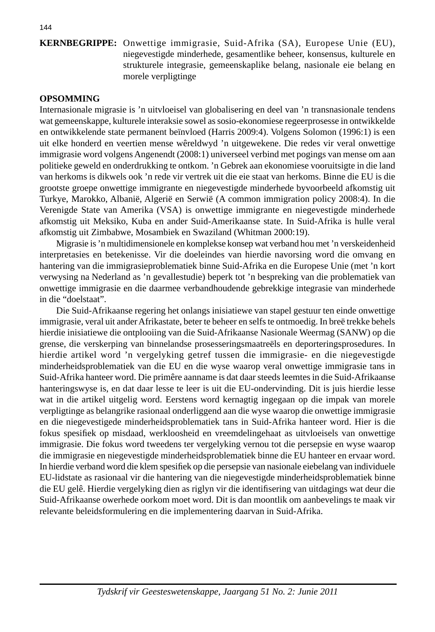#### **KERNBEGRIPPE:** Onwettige immigrasie, Suid-Afrika (SA), Europese Unie (EU), niegevestigde minderhede, gesamentlike beheer, konsensus, kulturele en strukturele integrasie, gemeenskaplike belang, nasionale eie belang en morele verpligtinge

#### **OPSOMMING**

Internasionale migrasie is 'n uitvloeisel van globalisering en deel van 'n transnasionale tendens wat gemeenskappe, kulturele interaksie sowel as sosio-ekonomiese regeerprosesse in ontwikkelde en ontwikkelende state permanent beïnvloed (Harris 2009:4). Volgens Solomon (1996:1) is een uit elke honderd en veertien mense wêreldwyd 'n uitgewekene. Die redes vir veral onwettige immigrasie word volgens Angenendt (2008:1) universeel verbind met pogings van mense om aan politieke geweld en onderdrukking te ontkom. 'n Gebrek aan ekonomiese vooruitsigte in die land van herkoms is dikwels ook 'n rede vir vertrek uit die eie staat van herkoms. Binne die EU is die grootste groepe onwettige immigrante en niegevestigde minderhede byvoorbeeld afkomstig uit Turkye, Marokko, Albanië, Algerië en Serwië (A common immigration policy 2008:4). In die Verenigde State van Amerika (VSA) is onwettige immigrante en niegevestigde minderhede afkomstig uit Meksiko, Kuba en ander Suid-Amerikaanse state. In Suid-Afrika is hulle veral afkomstig uit Zimbabwe, Mosambiek en Swaziland (Whitman 2000:19).

 Migrasie is 'n multidimensionele en komplekse konsep wat verband hou met 'n verskeidenheid interpretasies en betekenisse. Vir die doeleindes van hierdie navorsing word die omvang en hantering van die immigrasieproblematiek binne Suid-Afrika en die Europese Unie (met 'n kort verwysing na Nederland as 'n gevallestudie) beperk tot 'n bespreking van die problematiek van onwettige immigrasie en die daarmee verbandhoudende gebrekkige integrasie van minderhede in die "doelstaat".

 Die Suid-Afrikaanse regering het onlangs inisiatiewe van stapel gestuur ten einde onwettige immigrasie, veral uit ander Afrikastate, beter te beheer en selfs te ontmoedig. In breë trekke behels hierdie inisiatiewe die ontplooiing van die Suid-Afrikaanse Nasionale Weermag (SANW) op die grense, die verskerping van binnelandse prosesseringsmaatreëls en deporteringsprosedures. In hierdie artikel word 'n vergelyking getref tussen die immigrasie- en die niegevestigde minderheidsproblematiek van die EU en die wyse waarop veral onwettige immigrasie tans in Suid-Afrika hanteer word. Die primêre aanname is dat daar steeds leemtes in die Suid-Afrikaanse hanteringswyse is, en dat daar lesse te leer is uit die EU-ondervinding. Dit is juis hierdie lesse wat in die artikel uitgelig word. Eerstens word kernagtig ingegaan op die impak van morele verpligtinge as belangrike rasionaal onderliggend aan die wyse waarop die onwettige immigrasie en die niegevestigede minderheidsproblematiek tans in Suid-Afrika hanteer word. Hier is die fokus spesifiek op misdaad, werkloosheid en vreemdelingehaat as uitvloeisels van onwettige immigrasie. Die fokus word tweedens ter vergelyking vernou tot die persepsie en wyse waarop die immigrasie en niegevestigde minderheidsproblematiek binne die EU hanteer en ervaar word. In hierdie verband word die klem spesifiek op die persepsie van nasionale eiebelang van individuele EU-lidstate as rasionaal vir die hantering van die niegevestigde minderheidsproblematiek binne die EU gelê. Hierdie vergelyking dien as riglyn vir die identifisering van uitdagings wat deur die Suid-Afrikaanse owerhede oorkom moet word. Dit is dan moontlik om aanbevelings te maak vir relevante beleidsformulering en die implementering daarvan in Suid-Afrika.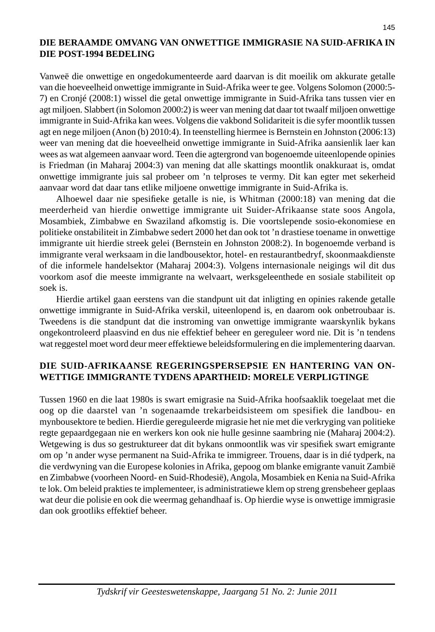#### **DIE BERAAMDE OMVANG VAN ONWETTIGE IMMIGRASIE NA SUID-AFRIKA IN DIE POST-1994 BEDELING**

Vanweë die onwettige en ongedokumenteerde aard daarvan is dit moeilik om akkurate getalle van die hoeveelheid onwettige immigrante in Suid-Afrika weer te gee. Volgens Solomon (2000:5- 7) en Cronjé (2008:1) wissel die getal onwettige immigrante in Suid-Afrika tans tussen vier en agt miljoen. Slabbert (in Solomon 2000:2) is weer van mening dat daar tot twaalf miljoen onwettige immigrante in Suid-Afrika kan wees. Volgens die vakbond Solidariteit is die syfer moontlik tussen agt en nege miljoen (Anon (b) 2010:4). In teenstelling hiermee is Bernstein en Johnston (2006:13) weer van mening dat die hoeveelheid onwettige immigrante in Suid-Afrika aansienlik laer kan wees as wat algemeen aanvaar word. Teen die agtergrond van bogenoemde uiteenlopende opinies is Friedman (in Maharaj 2004:3) van mening dat alle skattings moontlik onakkuraat is, omdat onwettige immigrante juis sal probeer om 'n telproses te vermy. Dit kan egter met sekerheid aanvaar word dat daar tans etlike miljoene onwettige immigrante in Suid-Afrika is.

Alhoewel daar nie spesifieke getalle is nie, is Whitman (2000:18) van mening dat die meerderheid van hierdie onwettige immigrante uit Suider-Afrikaanse state soos Angola, Mosambiek, Zimbabwe en Swaziland afkomstig is. Die voortslepende sosio-ekonomiese en politieke onstabiliteit in Zimbabwe sedert 2000 het dan ook tot 'n drastiese toename in onwettige immigrante uit hierdie streek gelei (Bernstein en Johnston 2008:2). In bogenoemde verband is immigrante veral werksaam in die landbousektor, hotel- en restaurantbedryf, skoonmaakdienste of die informele handelsektor (Maharaj 2004:3). Volgens internasionale neigings wil dit dus voorkom asof die meeste immigrante na welvaart, werksgeleenthede en sosiale stabiliteit op soek is.

 Hierdie artikel gaan eerstens van die standpunt uit dat inligting en opinies rakende getalle onwettige immigrante in Suid-Afrika verskil, uiteenlopend is, en daarom ook onbetroubaar is. Tweedens is die standpunt dat die instroming van onwettige immigrante waarskynlik bykans ongekontroleerd plaasvind en dus nie effektief beheer en gereguleer word nie. Dit is 'n tendens wat reggestel moet word deur meer effektiewe beleidsformulering en die implementering daarvan.

### **DIE SUID-AFRIKAANSE REGERINGSPERSEPSIE EN HANTERING VAN ON-WETTIGE IMMIGRANTE TYDENS APARTHEID: MORELE VERPLIGTINGE**

Tussen 1960 en die laat 1980s is swart emigrasie na Suid-Afrika hoofsaaklik toegelaat met die oog op die daarstel van 'n sogenaamde trekarbeidsisteem om spesifiek die landbou- en mynbousektore te bedien. Hierdie gereguleerde migrasie het nie met die verkryging van politieke regte gepaardgegaan nie en werkers kon ook nie hulle gesinne saambring nie (Maharaj 2004:2). Wetgewing is dus so gestruktureer dat dit bykans onmoontlik was vir spesifiek swart emigrante om op 'n ander wyse permanent na Suid-Afrika te immigreer. Trouens, daar is in dié tydperk, na die verdwyning van die Europese kolonies in Afrika, gepoog om blanke emigrante vanuit Zambië en Zimbabwe (voorheen Noord- en Suid-Rhodesië), Angola, Mosambiek en Kenia na Suid-Afrika te lok. Om beleid prakties te implementeer, is administratiewe klem op streng grensbeheer geplaas wat deur die polisie en ook die weermag gehandhaaf is. Op hierdie wyse is onwettige immigrasie dan ook grootliks effektief beheer.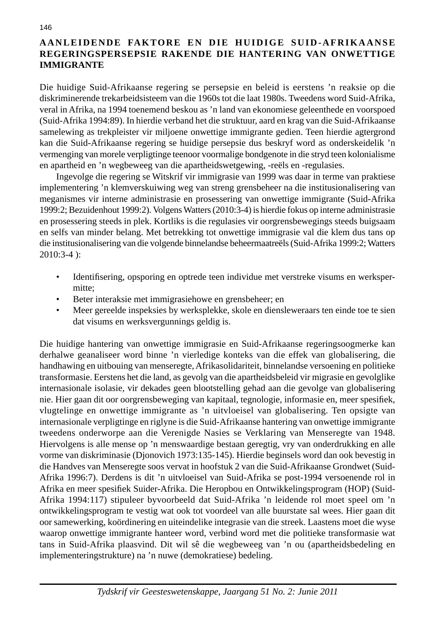## **AANLEIDENDE FAKTORE EN DIE HUIDIGE SUID-AFRIKAANSE REGERINGSPERSEPSIE RAKENDE DIE HANTERING VAN ONWETTIGE IMMIGRANTE**

Die huidige Suid-Afrikaanse regering se persepsie en beleid is eerstens 'n reaksie op die diskriminerende trekarbeidsisteem van die 1960s tot die laat 1980s. Tweedens word Suid-Afrika, veral in Afrika, na 1994 toenemend beskou as 'n land van ekonomiese geleenthede en voorspoed (Suid-Afrika 1994:89). In hierdie verband het die struktuur, aard en krag van die Suid-Afrikaanse samelewing as trekpleister vir miljoene onwettige immigrante gedien. Teen hierdie agtergrond kan die Suid-Afrikaanse regering se huidige persepsie dus beskryf word as onderskeidelik 'n vermenging van morele verpligtinge teenoor voormalige bondgenote in die stryd teen kolonialisme en apartheid en 'n wegbeweeg van die apartheidswetgewing, -reëls en -regulasies.

 Ingevolge die regering se Witskrif vir immigrasie van 1999 was daar in terme van praktiese implementering 'n klemverskuiwing weg van streng grensbeheer na die institusionalisering van meganismes vir interne administrasie en prosessering van onwettige immigrante (Suid-Afrika 1999:2; Bezuidenhout 1999:2). Volgens Watters (2010:3-4) is hierdie fokus op interne administrasie en prosessering steeds in plek. Kortliks is die regulasies vir oorgrensbewegings steeds buigsaam en selfs van minder belang. Met betrekking tot onwettige immigrasie val die klem dus tans op die institusionalisering van die volgende binnelandse beheermaatreëls (Suid-Afrika 1999:2; Watters 2010:3-4 ):

- Identifisering, opsporing en optrede teen individue met verstreke visums en werkspermitte;
- Beter interaksie met immigrasiehowe en grensbeheer; en
- Meer gereelde inspeksies by werksplekke, skole en diensleweraars ten einde toe te sien dat visums en werksvergunnings geldig is.

Die huidige hantering van onwettige immigrasie en Suid-Afrikaanse regeringsoogmerke kan derhalwe geanaliseer word binne 'n vierledige konteks van die effek van globalisering, die handhawing en uitbouing van menseregte, Afrikasolidariteit, binnelandse versoening en politieke transformasie. Eerstens het die land, as gevolg van die apartheidsbeleid vir migrasie en gevolglike internasionale isolasie, vir dekades geen blootstelling gehad aan die gevolge van globalisering nie. Hier gaan dit oor oorgrensbeweging van kapitaal, tegnologie, informasie en, meer spesifiek, vlugtelinge en onwettige immigrante as 'n uitvloeisel van globalisering. Ten opsigte van internasionale verpligtinge en riglyne is die Suid-Afrikaanse hantering van onwettige immigrante tweedens onderworpe aan die Verenigde Nasies se Verklaring van Menseregte van 1948. Hiervolgens is alle mense op 'n menswaardige bestaan geregtig, vry van onderdrukking en alle vorme van diskriminasie (Djonovich 1973:135-145). Hierdie beginsels word dan ook bevestig in die Handves van Menseregte soos vervat in hoofstuk 2 van die Suid-Afrikaanse Grondwet (Suid-Afrika 1996:7). Derdens is dit 'n uitvloeisel van Suid-Afrika se post-1994 versoenende rol in Afrika en meer spesifiek Suider-Afrika. Die Heropbou en Ontwikkelingsprogram (HOP) (Suid-Afrika 1994:117) stipuleer byvoorbeeld dat Suid-Afrika 'n leidende rol moet speel om 'n ontwikkelingsprogram te vestig wat ook tot voordeel van alle buurstate sal wees. Hier gaan dit oor samewerking, koördinering en uiteindelike integrasie van die streek. Laastens moet die wyse waarop onwettige immigrante hanteer word, verbind word met die politieke transformasie wat tans in Suid-Afrika plaasvind. Dit wil sê die wegbeweeg van 'n ou (apartheidsbedeling en implementeringstrukture) na 'n nuwe (demokratiese) bedeling.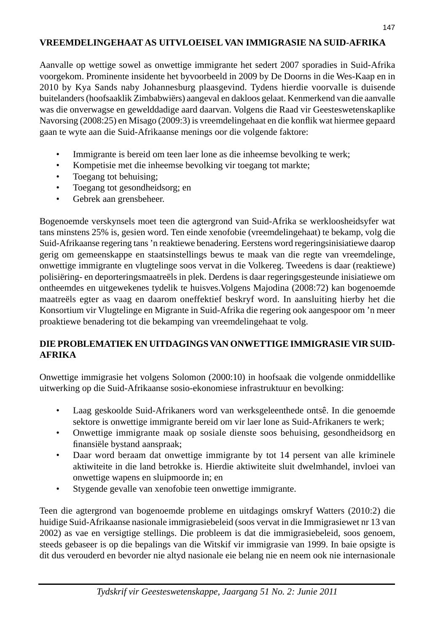# **VREEMDELINGEHAAT AS UITVLOEISEL VAN IMMIGRASIE NA SUID-AFRIKA**

Aanvalle op wettige sowel as onwettige immigrante het sedert 2007 sporadies in Suid-Afrika voorgekom. Prominente insidente het byvoorbeeld in 2009 by De Doorns in die Wes-Kaap en in 2010 by Kya Sands naby Johannesburg plaasgevind. Tydens hierdie voorvalle is duisende buitelanders (hoofsaaklik Zimbabwiërs) aangeval en dakloos gelaat. Kenmerkend van die aanvalle was die onverwagse en gewelddadige aard daarvan. Volgens die Raad vir Geesteswetenskaplike Navorsing (2008:25) en Misago (2009:3) is vreemdelingehaat en die konflik wat hiermee gepaard gaan te wyte aan die Suid-Afrikaanse menings oor die volgende faktore:

- Immigrante is bereid om teen laer lone as die inheemse bevolking te werk;
- Kompetisie met die inheemse bevolking vir toegang tot markte;
- Toegang tot behuising:
- Toegang tot gesondheidsorg; en
- Gebrek aan grensbeheer.

Bogenoemde verskynsels moet teen die agtergrond van Suid-Afrika se werkloosheidsyfer wat tans minstens 25% is, gesien word. Ten einde xenofobie (vreemdelingehaat) te bekamp, volg die Suid-Afrikaanse regering tans 'n reaktiewe benadering. Eerstens word regeringsinisiatiewe daarop gerig om gemeenskappe en staatsinstellings bewus te maak van die regte van vreemdelinge, onwettige immigrante en vlugtelinge soos vervat in die Volkereg. Tweedens is daar (reaktiewe) polisiëring- en deporteringsmaatreëls in plek. Derdens is daar regeringsgesteunde inisiatiewe om ontheemdes en uitgewekenes tydelik te huisves.Volgens Majodina (2008:72) kan bogenoemde maatreëls egter as vaag en daarom oneffektief beskryf word. In aansluiting hierby het die Konsortium vir Vlugtelinge en Migrante in Suid-Afrika die regering ook aangespoor om 'n meer proaktiewe benadering tot die bekamping van vreemdelingehaat te volg.

# **DIE PROBLEMATIEK EN UITDAGINGS VAN ONWETTIGE IMMIGRASIE VIR SUID-AFRIKA**

Onwettige immigrasie het volgens Solomon (2000:10) in hoofsaak die volgende onmiddellike uitwerking op die Suid-Afrikaanse sosio-ekonomiese infrastruktuur en bevolking:

- Laag geskoolde Suid-Afrikaners word van werksgeleenthede ontsê. In die genoemde sektore is onwettige immigrante bereid om vir laer lone as Suid-Afrikaners te werk;
- Onwettige immigrante maak op sosiale dienste soos behuising, gesondheidsorg en finansiële bystand aanspraak;
- Daar word beraam dat onwettige immigrante by tot 14 persent van alle kriminele aktiwiteite in die land betrokke is. Hierdie aktiwiteite sluit dwelmhandel, invloei van onwettige wapens en sluipmoorde in; en
- Stygende gevalle van xenofobie teen onwettige immigrante.

Teen die agtergrond van bogenoemde probleme en uitdagings omskryf Watters (2010:2) die huidige Suid-Afrikaanse nasionale immigrasiebeleid (soos vervat in die Immigrasiewet nr 13 van 2002) as vae en versigtige stellings. Die probleem is dat die immigrasiebeleid, soos genoem, steeds gebaseer is op die bepalings van die Witskif vir immigrasie van 1999. In baie opsigte is dit dus verouderd en bevorder nie altyd nasionale eie belang nie en neem ook nie internasionale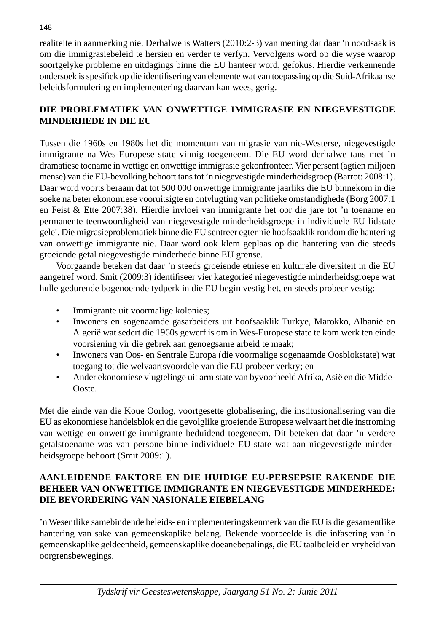realiteite in aanmerking nie. Derhalwe is Watters (2010:2-3) van mening dat daar 'n noodsaak is om die immigrasiebeleid te hersien en verder te verfyn. Vervolgens word op die wyse waarop soortgelyke probleme en uitdagings binne die EU hanteer word, gefokus. Hierdie verkennende ondersoek is spesifi ek op die identifi sering van elemente wat van toepassing op die Suid-Afrikaanse beleidsformulering en implementering daarvan kan wees, gerig.

## **DIE PROBLEMATIEK VAN ONWETTIGE IMMIGRASIE EN NIEGEVESTIGDE MINDERHEDE IN DIE EU**

Tussen die 1960s en 1980s het die momentum van migrasie van nie-Westerse, niegevestigde immigrante na Wes-Europese state vinnig toegeneem. Die EU word derhalwe tans met 'n dramatiese toename in wettige en onwettige immigrasie gekonfronteer. Vier persent (agtien miljoen mense) van die EU-bevolking behoort tans tot 'n niegevestigde minderheidsgroep (Barrot: 2008:1). Daar word voorts beraam dat tot 500 000 onwettige immigrante jaarliks die EU binnekom in die soeke na beter ekonomiese vooruitsigte en ontvlugting van politieke omstandighede (Borg 2007:1 en Feist & Ette 2007:38). Hierdie invloei van immigrante het oor die jare tot 'n toename en permanente teenwoordigheid van niegevestigde minderheidsgroepe in individuele EU lidstate gelei. Die migrasieproblematiek binne die EU sentreer egter nie hoofsaaklik rondom die hantering van onwettige immigrante nie. Daar word ook klem geplaas op die hantering van die steeds groeiende getal niegevestigde minderhede binne EU grense.

 Voorgaande beteken dat daar 'n steeds groeiende etniese en kulturele diversiteit in die EU aangetref word. Smit (2009:3) identifiseer vier kategorieë niegevestigde minderheidsgroepe wat hulle gedurende bogenoemde tydperk in die EU begin vestig het, en steeds probeer vestig:

- Immigrante uit voormalige kolonies;
- Inwoners en sogenaamde gasarbeiders uit hoofsaaklik Turkye, Marokko, Albanië en Algerië wat sedert die 1960s gewerf is om in Wes-Europese state te kom werk ten einde voorsiening vir die gebrek aan genoegsame arbeid te maak;
- Inwoners van Oos- en Sentrale Europa (die voormalige sogenaamde Oosblokstate) wat toegang tot die welvaartsvoordele van die EU probeer verkry; en
- Ander ekonomiese vlugtelinge uit arm state van byvoorbeeld Afrika, Asië en die Midde-Ooste.

Met die einde van die Koue Oorlog, voortgesette globalisering, die institusionalisering van die EU as ekonomiese handelsblok en die gevolglike groeiende Europese welvaart het die instroming van wettige en onwettige immigrante beduidend toegeneem. Dit beteken dat daar 'n verdere getalstoename was van persone binne individuele EU-state wat aan niegevestigde minderheidsgroepe behoort (Smit 2009:1).

#### **AANLEIDENDE FAKTORE EN DIE HUIDIGE EU-PERSEPSIE RAKENDE DIE BEHEER VAN ONWETTIGE IMMIGRANTE EN NIEGEVESTIGDE MINDERHEDE: DIE BEVORDERING VAN NASIONALE EIEBELANG**

'n Wesentlike samebindende beleids- en implementeringskenmerk van die EU is die gesamentlike hantering van sake van gemeenskaplike belang. Bekende voorbeelde is die infasering van 'n gemeenskaplike geldeenheid, gemeenskaplike doeanebepalings, die EU taalbeleid en vryheid van oorgrensbewegings.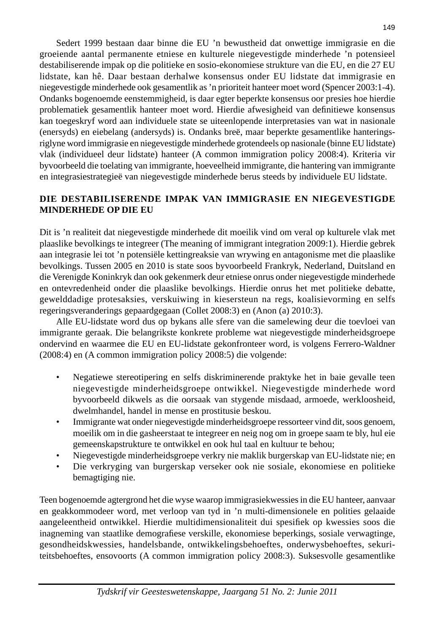Sedert 1999 bestaan daar binne die EU 'n bewustheid dat onwettige immigrasie en die groeiende aantal permanente etniese en kulturele niegevestigde minderhede 'n potensieel destabiliserende impak op die politieke en sosio-ekonomiese strukture van die EU, en die 27 EU lidstate, kan hê. Daar bestaan derhalwe konsensus onder EU lidstate dat immigrasie en niegevestigde minderhede ook gesamentlik as 'n prioriteit hanteer moet word (Spencer 2003:1-4). Ondanks bogenoemde eenstemmigheid, is daar egter beperkte konsensus oor presies hoe hierdie problematiek gesamentlik hanteer moet word. Hierdie afwesigheid van definitiewe konsensus kan toegeskryf word aan individuele state se uiteenlopende interpretasies van wat in nasionale (enersyds) en eiebelang (andersyds) is. Ondanks breë, maar beperkte gesamentlike hanteringsriglyne word immigrasie en niegevestigde minderhede grotendeels op nasionale (binne EU lidstate) vlak (individueel deur lidstate) hanteer (A common immigration policy 2008:4). Kriteria vir byvoorbeeld die toelating van immigrante, hoeveelheid immigrante, die hantering van immigrante en integrasiestrategieë van niegevestigde minderhede berus steeds by individuele EU lidstate.

### **DIE DESTABILISERENDE IMPAK VAN IMMIGRASIE EN NIEGEVESTIGDE MINDERHEDE OP DIE EU**

Dit is 'n realiteit dat niegevestigde minderhede dit moeilik vind om veral op kulturele vlak met plaaslike bevolkings te integreer (The meaning of immigrant integration 2009:1). Hierdie gebrek aan integrasie lei tot 'n potensiële kettingreaksie van wrywing en antagonisme met die plaaslike bevolkings. Tussen 2005 en 2010 is state soos byvoorbeeld Frankryk, Nederland, Duitsland en die Verenigde Koninkryk dan ook gekenmerk deur etniese onrus onder niegevestigde minderhede en ontevredenheid onder die plaaslike bevolkings. Hierdie onrus het met politieke debatte, gewelddadige protesaksies, verskuiwing in kiesersteun na regs, koalisievorming en selfs regeringsveranderings gepaardgegaan (Collet 2008:3) en (Anon (a) 2010:3).

 Alle EU-lidstate word dus op bykans alle sfere van die samelewing deur die toevloei van immigrante geraak. Die belangrikste konkrete probleme wat niegevestigde minderheidsgroepe ondervind en waarmee die EU en EU-lidstate gekonfronteer word, is volgens Ferrero-Waldner (2008:4) en (A common immigration policy 2008:5) die volgende:

- Negatiewe stereotipering en selfs diskriminerende praktyke het in baie gevalle teen niegevestigde minderheidsgroepe ontwikkel. Niegevestigde minderhede word byvoorbeeld dikwels as die oorsaak van stygende misdaad, armoede, werkloosheid, dwelmhandel, handel in mense en prostitusie beskou.
- Immigrante wat onder niegevestigde minderheidsgroepe ressorteer vind dit, soos genoem, moeilik om in die gasheerstaat te integreer en neig nog om in groepe saam te bly, hul eie gemeenskapstrukture te ontwikkel en ook hul taal en kultuur te behou;
- Niegevestigde minderheidsgroepe verkry nie maklik burgerskap van EU-lidstate nie; en
- Die verkryging van burgerskap verseker ook nie sosiale, ekonomiese en politieke bemagtiging nie.

Teen bogenoemde agtergrond het die wyse waarop immigrasiekwessies in die EU hanteer, aanvaar en geakkommodeer word, met verloop van tyd in 'n multi-dimensionele en polities gelaaide aangeleentheid ontwikkel. Hierdie multidimensionaliteit dui spesifiek op kwessies soos die inagneming van staatlike demografiese verskille, ekonomiese beperkings, sosiale verwagtinge, gesondheidskwessies, handelsbande, ontwikkelingsbehoeftes, onderwysbehoeftes, sekuriteitsbehoeftes, ensovoorts (A common immigration policy 2008:3). Suksesvolle gesamentlike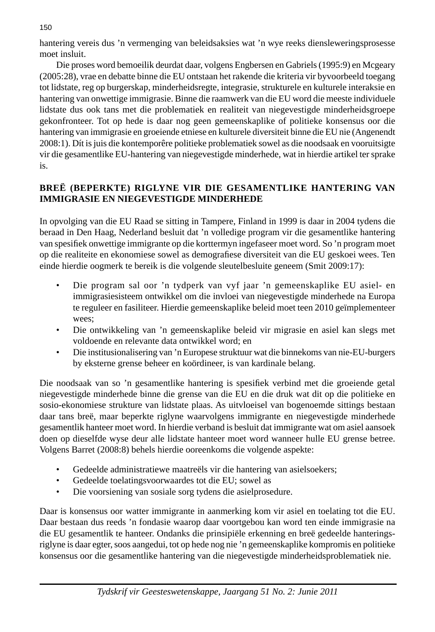hantering vereis dus 'n vermenging van beleidsaksies wat 'n wye reeks diensleweringsprosesse moet insluit.

 Die proses word bemoeilik deurdat daar, volgens Engbersen en Gabriels (1995:9) en Mcgeary (2005:28), vrae en debatte binne die EU ontstaan het rakende die kriteria vir byvoorbeeld toegang tot lidstate, reg op burgerskap, minderheidsregte, integrasie, strukturele en kulturele interaksie en hantering van onwettige immigrasie. Binne die raamwerk van die EU word die meeste individuele lidstate dus ook tans met die problematiek en realiteit van niegevestigde minderheidsgroepe gekonfronteer. Tot op hede is daar nog geen gemeenskaplike of politieke konsensus oor die hantering van immigrasie en groeiende etniese en kulturele diversiteit binne die EU nie (Angenendt 2008:1). Dít is juis die kontemporêre politieke problematiek sowel as die noodsaak en vooruitsigte vir die gesamentlike EU-hantering van niegevestigde minderhede, wat in hierdie artikel ter sprake is.

# **BREË (BEPERKTE) RIGLYNE VIR DIE GESAMENTLIKE HANTERING VAN IMMIGRASIE EN NIEGEVESTIGDE MINDERHEDE**

In opvolging van die EU Raad se sitting in Tampere, Finland in 1999 is daar in 2004 tydens die beraad in Den Haag, Nederland besluit dat 'n volledige program vir die gesamentlike hantering van spesifiek onwettige immigrante op die korttermyn ingefaseer moet word. So 'n program moet op die realiteite en ekonomiese sowel as demografiese diversiteit van die EU geskoei wees. Ten einde hierdie oogmerk te bereik is die volgende sleutelbesluite geneem (Smit 2009:17):

- Die program sal oor 'n tydperk van vyf jaar 'n gemeenskaplike EU asiel- en immigrasiesisteem ontwikkel om die invloei van niegevestigde minderhede na Europa te reguleer en fasiliteer. Hierdie gemeenskaplike beleid moet teen 2010 geïmplementeer wees;
- Die ontwikkeling van 'n gemeenskaplike beleid vir migrasie en asiel kan slegs met voldoende en relevante data ontwikkel word; en
- Die institusionalisering van 'n Europese struktuur wat die binnekoms van nie-EU-burgers by eksterne grense beheer en koördineer, is van kardinale belang.

Die noodsaak van so 'n gesamentlike hantering is spesifiek verbind met die groeiende getal niegevestigde minderhede binne die grense van die EU en die druk wat dit op die politieke en sosio-ekonomiese strukture van lidstate plaas. As uitvloeisel van bogenoemde sittings bestaan daar tans breë, maar beperkte riglyne waarvolgens immigrante en niegevestigde minderhede gesamentlik hanteer moet word. In hierdie verband is besluit dat immigrante wat om asiel aansoek doen op dieselfde wyse deur alle lidstate hanteer moet word wanneer hulle EU grense betree. Volgens Barret (2008:8) behels hierdie ooreenkoms die volgende aspekte:

- Gedeelde administratiewe maatreëls vir die hantering van asielsoekers;
- Gedeelde toelatingsvoorwaardes tot die EU; sowel as
- Die voorsiening van sosiale sorg tydens die asielprosedure.

Daar is konsensus oor watter immigrante in aanmerking kom vir asiel en toelating tot die EU. Daar bestaan dus reeds 'n fondasie waarop daar voortgebou kan word ten einde immigrasie na die EU gesamentlik te hanteer. Ondanks die prinsipiële erkenning en breë gedeelde hanteringsriglyne is daar egter, soos aangedui, tot op hede nog nie 'n gemeenskaplike kompromis en politieke konsensus oor die gesamentlike hantering van die niegevestigde minderheidsproblematiek nie.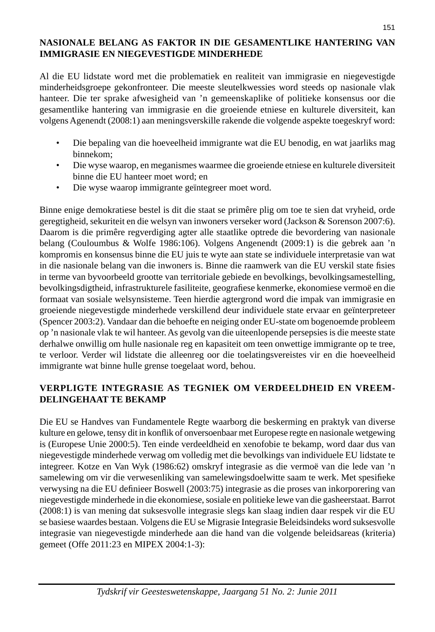# **NASIONALE BELANG AS FAKTOR IN DIE GESAMENTLIKE HANTERING VAN IMMIGRASIE EN NIEGEVESTIGDE MINDERHEDE**

Al die EU lidstate word met die problematiek en realiteit van immigrasie en niegevestigde minderheidsgroepe gekonfronteer. Die meeste sleutelkwessies word steeds op nasionale vlak hanteer. Die ter sprake afwesigheid van 'n gemeenskaplike of politieke konsensus oor die gesamentlike hantering van immigrasie en die groeiende etniese en kulturele diversiteit, kan volgens Agenendt (2008:1) aan meningsverskille rakende die volgende aspekte toegeskryf word:

- Die bepaling van die hoeveelheid immigrante wat die EU benodig, en wat jaarliks mag binnekom;
- Die wyse waarop, en meganismes waarmee die groeiende etniese en kulturele diversiteit binne die EU hanteer moet word; en
- Die wyse waarop immigrante geïntegreer moet word.

Binne enige demokratiese bestel is dit die staat se primêre plig om toe te sien dat vryheid, orde geregtigheid, sekuriteit en die welsyn van inwoners verseker word (Jackson & Sorenson 2007:6). Daarom is die primêre regverdiging agter alle staatlike optrede die bevordering van nasionale belang (Couloumbus & Wolfe 1986:106). Volgens Angenendt (2009:1) is die gebrek aan 'n kompromis en konsensus binne die EU juis te wyte aan state se individuele interpretasie van wat in die nasionale belang van die inwoners is. Binne die raamwerk van die EU verskil state fisies in terme van byvoorbeeld grootte van territoriale gebiede en bevolkings, bevolkingsamestelling, bevolkingsdigtheid, infrastrukturele fasiliteite, geografiese kenmerke, ekonomiese vermoë en die formaat van sosiale welsynsisteme. Teen hierdie agtergrond word die impak van immigrasie en groeiende niegevestigde minderhede verskillend deur individuele state ervaar en geïnterpreteer (Spencer 2003:2). Vandaar dan die behoefte en neiging onder EU-state om bogenoemde probleem op 'n nasionale vlak te wil hanteer. As gevolg van die uiteenlopende persepsies is die meeste state derhalwe onwillig om hulle nasionale reg en kapasiteit om teen onwettige immigrante op te tree, te verloor. Verder wil lidstate die alleenreg oor die toelatingsvereistes vir en die hoeveelheid immigrante wat binne hulle grense toegelaat word, behou.

# **VERPLIGTE INTEGRASIE AS TEGNIEK OM VERDEELDHEID EN VREEM-DELINGEHAAT TE BEKAMP**

Die EU se Handves van Fundamentele Regte waarborg die beskerming en praktyk van diverse kulture en gelowe, tensy dit in konflik of onversoenbaar met Europese regte en nasionale wetgewing is (Europese Unie 2000:5). Ten einde verdeeldheid en xenofobie te bekamp, word daar dus van niegevestigde minderhede verwag om volledig met die bevolkings van individuele EU lidstate te integreer. Kotze en Van Wyk (1986:62) omskryf integrasie as die vermoë van die lede van 'n samelewing om vir die verwesenliking van samelewingsdoelwitte saam te werk. Met spesifieke verwysing na die EU definieer Boswell (2003:75) integrasie as die proses van inkorporering van niegevestigde minderhede in die ekonomiese, sosiale en politieke lewe van die gasheerstaat. Barrot (2008:1) is van mening dat suksesvolle integrasie slegs kan slaag indien daar respek vir die EU se basiese waardes bestaan. Volgens die EU se Migrasie Integrasie Beleidsindeks word suksesvolle integrasie van niegevestigde minderhede aan die hand van die volgende beleidsareas (kriteria) gemeet (Offe 2011:23 en MIPEX 2004:1-3):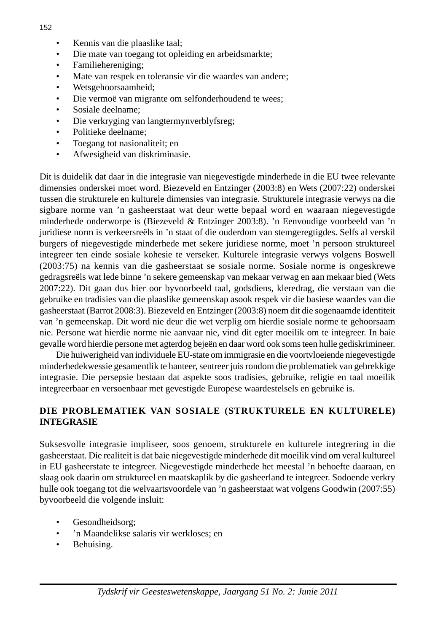- Kennis van die plaaslike taal;
- Die mate van toegang tot opleiding en arbeidsmarkte;
- Familiehereniging;
- Mate van respek en toleransie vir die waardes van andere;
- Wetsgehoorsaamheid;
- Die vermoë van migrante om selfonderhoudend te wees;
- Sosiale deelname;
- Die verkryging van langtermynverblyfsreg;
- Politieke deelname;
- Toegang tot nasionaliteit; en
- Afwesigheid van diskriminasie.

Dit is duidelik dat daar in die integrasie van niegevestigde minderhede in die EU twee relevante dimensies onderskei moet word. Biezeveld en Entzinger (2003:8) en Wets (2007:22) onderskei tussen die strukturele en kulturele dimensies van integrasie. Strukturele integrasie verwys na die sigbare norme van 'n gasheerstaat wat deur wette bepaal word en waaraan niegevestigde minderhede onderworpe is (Biezeveld & Entzinger 2003:8). 'n Eenvoudige voorbeeld van 'n juridiese norm is verkeersreëls in 'n staat of die ouderdom van stemgeregtigdes. Selfs al verskil burgers of niegevestigde minderhede met sekere juridiese norme, moet 'n persoon struktureel integreer ten einde sosiale kohesie te verseker. Kulturele integrasie verwys volgens Boswell (2003:75) na kennis van die gasheerstaat se sosiale norme. Sosiale norme is ongeskrewe gedragsreëls wat lede binne 'n sekere gemeenskap van mekaar verwag en aan mekaar bied (Wets 2007:22). Dit gaan dus hier oor byvoorbeeld taal, godsdiens, kleredrag, die verstaan van die gebruike en tradisies van die plaaslike gemeenskap asook respek vir die basiese waardes van die gasheerstaat (Barrot 2008:3). Biezeveld en Entzinger (2003:8) noem dit die sogenaamde identiteit van 'n gemeenskap. Dit word nie deur die wet verplig om hierdie sosiale norme te gehoorsaam nie. Persone wat hierdie norme nie aanvaar nie, vind dit egter moeilik om te integreer. In baie gevalle word hierdie persone met agterdog bejeën en daar word ook soms teen hulle gediskrimineer.

 Die huiwerigheid van individuele EU-state om immigrasie en die voortvloeiende niegevestigde minderhedekwessie gesamentlik te hanteer, sentreer juis rondom die problematiek van gebrekkige integrasie. Die persepsie bestaan dat aspekte soos tradisies, gebruike, religie en taal moeilik integreerbaar en versoenbaar met gevestigde Europese waardestelsels en gebruike is.

# **DIE PROBLEMATIEK VAN SOSIALE (STRUKTURELE EN KULTURELE) INTEGRASIE**

Suksesvolle integrasie impliseer, soos genoem, strukturele en kulturele integrering in die gasheerstaat. Die realiteit is dat baie niegevestigde minderhede dit moeilik vind om veral kultureel in EU gasheerstate te integreer. Niegevestigde minderhede het meestal 'n behoefte daaraan, en slaag ook daarin om struktureel en maatskaplik by die gasheerland te integreer. Sodoende verkry hulle ook toegang tot die welvaartsvoordele van 'n gasheerstaat wat volgens Goodwin (2007:55) byvoorbeeld die volgende insluit:

- Gesondheidsorg;
- 'n Maandelikse salaris vir werkloses; en
- Behuising.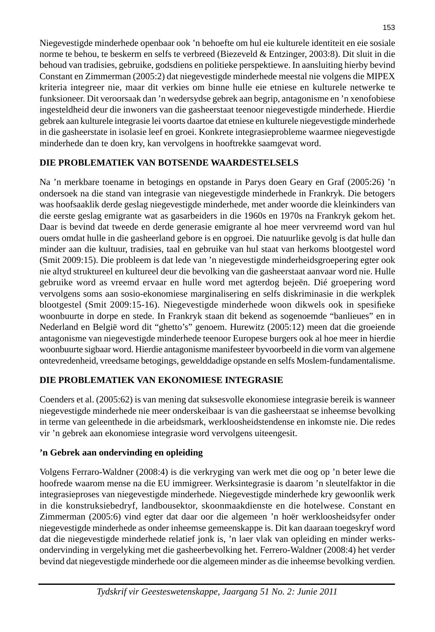Niegevestigde minderhede openbaar ook 'n behoefte om hul eie kulturele identiteit en eie sosiale norme te behou, te beskerm en selfs te verbreed (Biezeveld & Entzinger, 2003:8). Dit sluit in die behoud van tradisies, gebruike, godsdiens en politieke perspektiewe. In aansluiting hierby bevind Constant en Zimmerman (2005:2) dat niegevestigde minderhede meestal nie volgens die MIPEX kriteria integreer nie, maar dit verkies om binne hulle eie etniese en kulturele netwerke te funksioneer. Dit veroorsaak dan 'n wedersydse gebrek aan begrip, antagonisme en 'n xenofobiese ingesteldheid deur die inwoners van die gasheerstaat teenoor niegevestigde minderhede. Hierdie gebrek aan kulturele integrasie lei voorts daartoe dat etniese en kulturele niegevestigde minderhede in die gasheerstate in isolasie leef en groei. Konkrete integrasieprobleme waarmee niegevestigde minderhede dan te doen kry, kan vervolgens in hooftrekke saamgevat word.

# **DIE PROBLEMATIEK VAN BOTSENDE WAARDESTELSELS**

Na 'n merkbare toename in betogings en opstande in Parys doen Geary en Graf (2005:26) 'n ondersoek na die stand van integrasie van niegevestigde minderhede in Frankryk. Die betogers was hoofsaaklik derde geslag niegevestigde minderhede, met ander woorde die kleinkinders van die eerste geslag emigrante wat as gasarbeiders in die 1960s en 1970s na Frankryk gekom het. Daar is bevind dat tweede en derde generasie emigrante al hoe meer vervreemd word van hul ouers omdat hulle in die gasheerland gebore is en opgroei. Die natuurlike gevolg is dat hulle dan minder aan die kultuur, tradisies, taal en gebruike van hul staat van herkoms blootgestel word (Smit 2009:15). Die probleem is dat lede van 'n niegevestigde minderheidsgroepering egter ook nie altyd struktureel en kultureel deur die bevolking van die gasheerstaat aanvaar word nie. Hulle gebruike word as vreemd ervaar en hulle word met agterdog bejeën. Dié groepering word vervolgens soms aan sosio-ekonomiese marginalisering en selfs diskriminasie in die werkplek blootgestel (Smit 2009:15-16). Niegevestigde minderhede woon dikwels ook in spesifieke woonbuurte in dorpe en stede. In Frankryk staan dit bekend as sogenoemde "banlieues" en in Nederland en België word dit "ghetto's" genoem. Hurewitz (2005:12) meen dat die groeiende antagonisme van niegevestigde minderhede teenoor Europese burgers ook al hoe meer in hierdie woonbuurte sigbaar word. Hierdie antagonisme manifesteer byvoorbeeld in die vorm van algemene ontevredenheid, vreedsame betogings, gewelddadige opstande en selfs Moslem-fundamentalisme.

# **DIE PROBLEMATIEK VAN EKONOMIESE INTEGRASIE**

Coenders et al. (2005:62) is van mening dat suksesvolle ekonomiese integrasie bereik is wanneer niegevestigde minderhede nie meer onderskeibaar is van die gasheerstaat se inheemse bevolking in terme van geleenthede in die arbeidsmark, werkloosheidstendense en inkomste nie. Die redes vir 'n gebrek aan ekonomiese integrasie word vervolgens uiteengesit.

# **'n Gebrek aan ondervinding en opleiding**

Volgens Ferraro-Waldner (2008:4) is die verkryging van werk met die oog op 'n beter lewe die hoofrede waarom mense na die EU immigreer. Werksintegrasie is daarom 'n sleutelfaktor in die integrasieproses van niegevestigde minderhede. Niegevestigde minderhede kry gewoonlik werk in die konstruksiebedryf, landbousektor, skoonmaakdienste en die hotelwese. Constant en Zimmerman (2005:6) vind egter dat daar oor die algemeen 'n hoër werkloosheidsyfer onder niegevestigde minderhede as onder inheemse gemeenskappe is. Dit kan daaraan toegeskryf word dat die niegevestigde minderhede relatief jonk is, 'n laer vlak van opleiding en minder werksondervinding in vergelyking met die gasheerbevolking het. Ferrero-Waldner (2008:4) het verder bevind dat niegevestigde minderhede oor die algemeen minder as die inheemse bevolking verdien.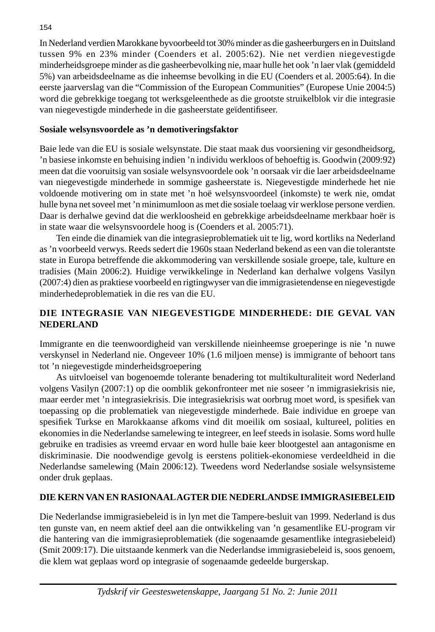In Nederland verdien Marokkane byvoorbeeld tot 30% minder as die gasheerburgers en in Duitsland tussen 9% en 23% minder (Coenders et al. 2005:62). Nie net verdien niegevestigde minderheidsgroepe minder as die gasheerbevolking nie, maar hulle het ook 'n laer vlak (gemiddeld 5%) van arbeidsdeelname as die inheemse bevolking in die EU (Coenders et al. 2005:64). In die eerste jaarverslag van die "Commission of the European Communities" (Europese Unie 2004:5) word die gebrekkige toegang tot werksgeleenthede as die grootste struikelblok vir die integrasie van niegevestigde minderhede in die gasheerstate geïdentifiseer.

#### **Sosiale welsynsvoordele as 'n demotiveringsfaktor**

Baie lede van die EU is sosiale welsynstate. Die staat maak dus voorsiening vir gesondheidsorg, 'n basiese inkomste en behuising indien 'n individu werkloos of behoeftig is. Goodwin (2009:92) meen dat die vooruitsig van sosiale welsynsvoordele ook 'n oorsaak vir die laer arbeidsdeelname van niegevestigde minderhede in sommige gasheerstate is. Niegevestigde minderhede het nie voldoende motivering om in state met 'n hoë welsynsvoordeel (inkomste) te werk nie, omdat hulle byna net soveel met 'n minimumloon as met die sosiale toelaag vir werklose persone verdien. Daar is derhalwe gevind dat die werkloosheid en gebrekkige arbeidsdeelname merkbaar hoër is in state waar die welsynsvoordele hoog is (Coenders et al. 2005:71).

 Ten einde die dinamiek van die integrasieproblematiek uit te lig, word kortliks na Nederland as 'n voorbeeld verwys. Reeds sedert die 1960s staan Nederland bekend as een van die tolerantste state in Europa betreffende die akkommodering van verskillende sosiale groepe, tale, kulture en tradisies (Main 2006:2). Huidige verwikkelinge in Nederland kan derhalwe volgens Vasilyn (2007:4) dien as praktiese voorbeeld en rigtingwyser van die immigrasietendense en niegevestigde minderhedeproblematiek in die res van die EU.

# **DIE INTEGRASIE VAN NIEGEVESTIGDE MINDERHEDE: DIE GEVAL VAN NEDERLAND**

Immigrante en die teenwoordigheid van verskillende nieinheemse groeperinge is nie 'n nuwe verskynsel in Nederland nie. Ongeveer 10% (1.6 miljoen mense) is immigrante of behoort tans tot 'n niegevestigde minderheidsgroepering

 As uitvloeisel van bogenoemde tolerante benadering tot multikulturaliteit word Nederland volgens Vasilyn (2007:1) op die oomblik gekonfronteer met nie soseer 'n immigrasiekrisis nie, maar eerder met 'n integrasiekrisis. Die integrasiekrisis wat oorbrug moet word, is spesifiek van toepassing op die problematiek van niegevestigde minderhede. Baie individue en groepe van spesifiek Turkse en Marokkaanse afkoms vind dit moeilik om sosiaal, kultureel, polities en ekonomies in die Nederlandse samelewing te integreer, en leef steeds in isolasie. Soms word hulle gebruike en tradisies as vreemd ervaar en word hulle baie keer blootgestel aan antagonisme en diskriminasie. Die noodwendige gevolg is eerstens politiek-ekonomiese verdeeldheid in die Nederlandse samelewing (Main 2006:12). Tweedens word Nederlandse sosiale welsynsisteme onder druk geplaas.

# **DIE KERN VAN EN RASIONAAL AGTER DIE NEDERLANDSE IMMIGRASIEBELEID**

Die Nederlandse immigrasiebeleid is in lyn met die Tampere-besluit van 1999. Nederland is dus ten gunste van, en neem aktief deel aan die ontwikkeling van 'n gesamentlike EU-program vir die hantering van die immigrasieproblematiek (die sogenaamde gesamentlike integrasiebeleid) (Smit 2009:17). Die uitstaande kenmerk van die Nederlandse immigrasiebeleid is, soos genoem, die klem wat geplaas word op integrasie of sogenaamde gedeelde burgerskap.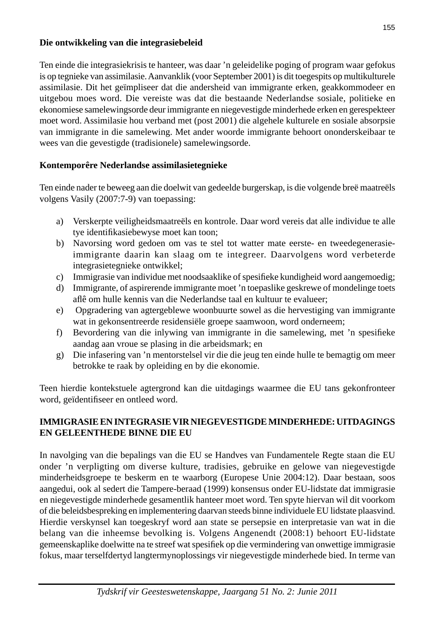#### **Die ontwikkeling van die integrasiebeleid**

Ten einde die integrasiekrisis te hanteer, was daar 'n geleidelike poging of program waar gefokus is op tegnieke van assimilasie. Aanvanklik (voor September 2001) is dit toegespits op multikulturele assimilasie. Dit het geïmpliseer dat die andersheid van immigrante erken, geakkommodeer en uitgebou moes word. Die vereiste was dat die bestaande Nederlandse sosiale, politieke en ekonomiese samelewingsorde deur immigrante en niegevestigde minderhede erken en gerespekteer moet word. Assimilasie hou verband met (post 2001) die algehele kulturele en sosiale absorpsie van immigrante in die samelewing. Met ander woorde immigrante behoort ononderskeibaar te wees van die gevestigde (tradisionele) samelewingsorde.

### **Kontemporêre Nederlandse assimilasietegnieke**

Ten einde nader te beweeg aan die doelwit van gedeelde burgerskap, is die volgende breë maatreëls volgens Vasily (2007:7-9) van toepassing:

- a) Verskerpte veiligheidsmaatreëls en kontrole. Daar word vereis dat alle individue te alle tye identifikasiebewyse moet kan toon;
- b) Navorsing word gedoen om vas te stel tot watter mate eerste- en tweedegenerasieimmigrante daarin kan slaag om te integreer. Daarvolgens word verbeterde integrasietegnieke ontwikkel;
- c) Immigrasie van individue met noodsaaklike of spesifieke kundigheid word aangemoedig;
- d) Immigrante, of aspirerende immigrante moet 'n toepaslike geskrewe of mondelinge toets aflê om hulle kennis van die Nederlandse taal en kultuur te evalueer;
- e) Opgradering van agtergeblewe woonbuurte sowel as die hervestiging van immigrante wat in gekonsentreerde residensiële groepe saamwoon, word onderneem;
- f) Bevordering van die inlywing van immigrante in die samelewing, met 'n spesifieke aandag aan vroue se plasing in die arbeidsmark; en
- g) Die infasering van 'n mentorstelsel vir die die jeug ten einde hulle te bemagtig om meer betrokke te raak by opleiding en by die ekonomie.

Teen hierdie kontekstuele agtergrond kan die uitdagings waarmee die EU tans gekonfronteer word, geïdentifiseer en ontleed word.

### **IMMIGRASIE EN INTEGRASIE VIR NIEGEVESTIGDE MINDERHEDE: UITDAGINGS EN GELEENTHEDE BINNE DIE EU**

In navolging van die bepalings van die EU se Handves van Fundamentele Regte staan die EU onder 'n verpligting om diverse kulture, tradisies, gebruike en gelowe van niegevestigde minderheidsgroepe te beskerm en te waarborg (Europese Unie 2004:12). Daar bestaan, soos aangedui, ook al sedert die Tampere-beraad (1999) konsensus onder EU-lidstate dat immigrasie en niegevestigde minderhede gesamentlik hanteer moet word. Ten spyte hiervan wil dit voorkom of die beleidsbespreking en implementering daarvan steeds binne individuele EU lidstate plaasvind. Hierdie verskynsel kan toegeskryf word aan state se persepsie en interpretasie van wat in die belang van die inheemse bevolking is. Volgens Angenendt (2008:1) behoort EU-lidstate gemeenskaplike doelwitte na te streef wat spesifiek op die vermindering van onwettige immigrasie fokus, maar terselfdertyd langtermynoplossings vir niegevestigde minderhede bied. In terme van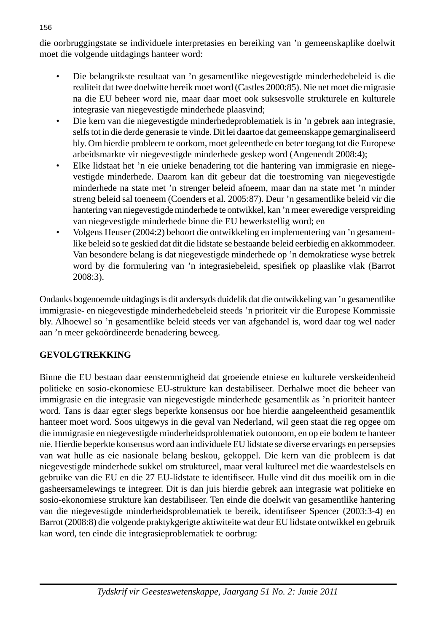die oorbruggingstate se individuele interpretasies en bereiking van 'n gemeenskaplike doelwit moet die volgende uitdagings hanteer word:

- Die belangrikste resultaat van 'n gesamentlike niegevestigde minderhedebeleid is die realiteit dat twee doelwitte bereik moet word (Castles 2000:85). Nie net moet die migrasie na die EU beheer word nie, maar daar moet ook suksesvolle strukturele en kulturele integrasie van niegevestigde minderhede plaasvind;
- Die kern van die niegevestigde minderhedeproblematiek is in 'n gebrek aan integrasie, selfs tot in die derde generasie te vinde. Dit lei daartoe dat gemeenskappe gemarginaliseerd bly. Om hierdie probleem te oorkom, moet geleenthede en beter toegang tot die Europese arbeidsmarkte vir niegevestigde minderhede geskep word (Angenendt 2008:4);
- Elke lidstaat het 'n eie unieke benadering tot die hantering van immigrasie en niegevestigde minderhede. Daarom kan dit gebeur dat die toestroming van niegevestigde minderhede na state met 'n strenger beleid afneem, maar dan na state met 'n minder streng beleid sal toeneem (Coenders et al. 2005:87). Deur 'n gesamentlike beleid vir die hantering van niegevestigde minderhede te ontwikkel, kan 'n meer eweredige verspreiding van niegevestigde minderhede binne die EU bewerkstellig word; en
- Volgens Heuser (2004:2) behoort die ontwikkeling en implementering van 'n gesamentlike beleid so te geskied dat dit die lidstate se bestaande beleid eerbiedig en akkommodeer. Van besondere belang is dat niegevestigde minderhede op 'n demokratiese wyse betrek word by die formulering van 'n integrasiebeleid, spesifiek op plaaslike vlak (Barrot 2008:3).

Ondanks bogenoemde uitdagings is dit andersyds duidelik dat die ontwikkeling van 'n gesamentlike immigrasie- en niegevestigde minderhedebeleid steeds 'n prioriteit vir die Europese Kommissie bly. Alhoewel so 'n gesamentlike beleid steeds ver van afgehandel is, word daar tog wel nader aan 'n meer gekoördineerde benadering beweeg.

# **GEVOLGTREKKING**

Binne die EU bestaan daar eenstemmigheid dat groeiende etniese en kulturele verskeidenheid politieke en sosio-ekonomiese EU-strukture kan destabiliseer. Derhalwe moet die beheer van immigrasie en die integrasie van niegevestigde minderhede gesamentlik as 'n prioriteit hanteer word. Tans is daar egter slegs beperkte konsensus oor hoe hierdie aangeleentheid gesamentlik hanteer moet word. Soos uitgewys in die geval van Nederland, wil geen staat die reg opgee om die immigrasie en niegevestigde minderheidsproblematiek outonoom, en op eie bodem te hanteer nie. Hierdie beperkte konsensus word aan individuele EU lidstate se diverse ervarings en persepsies van wat hulle as eie nasionale belang beskou, gekoppel. Die kern van die probleem is dat niegevestigde minderhede sukkel om struktureel, maar veral kultureel met die waardestelsels en gebruike van die EU en die 27 EU-lidstate te identifiseer. Hulle vind dit dus moeilik om in die gasheersamelewings te integreer. Dit is dan juis hierdie gebrek aan integrasie wat politieke en sosio-ekonomiese strukture kan destabiliseer. Ten einde die doelwit van gesamentlike hantering van die niegevestigde minderheidsproblematiek te bereik, identifiseer Spencer (2003:3-4) en Barrot (2008:8) die volgende praktykgerigte aktiwiteite wat deur EU lidstate ontwikkel en gebruik kan word, ten einde die integrasieproblematiek te oorbrug: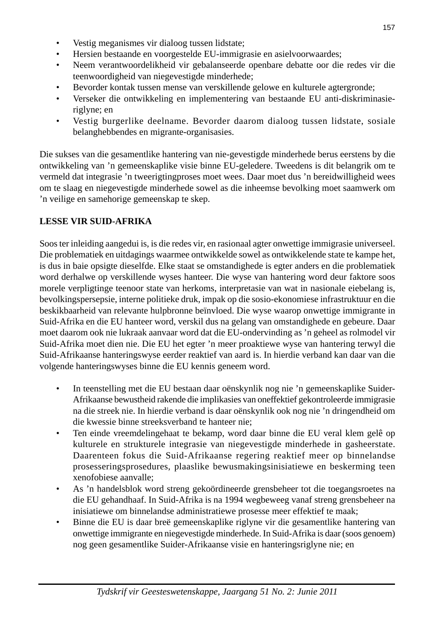- Vestig meganismes vir dialoog tussen lidstate;
- Hersien bestaande en voorgestelde EU-immigrasie en asielvoorwaardes;
- Neem verantwoordelikheid vir gebalanseerde openbare debatte oor die redes vir die teenwoordigheid van niegevestigde minderhede;
- Bevorder kontak tussen mense van verskillende gelowe en kulturele agtergronde;
- Verseker die ontwikkeling en implementering van bestaande EU anti-diskriminasieriglyne; en
- Vestig burgerlike deelname. Bevorder daarom dialoog tussen lidstate, sosiale belanghebbendes en migrante-organisasies.

Die sukses van die gesamentlike hantering van nie-gevestigde minderhede berus eerstens by die ontwikkeling van 'n gemeenskaplike visie binne EU-geledere. Tweedens is dit belangrik om te vermeld dat integrasie 'n tweerigtingproses moet wees. Daar moet dus 'n bereidwilligheid wees om te slaag en niegevestigde minderhede sowel as die inheemse bevolking moet saamwerk om 'n veilige en samehorige gemeenskap te skep.

#### **LESSE VIR SUID-AFRIKA**

Soos ter inleiding aangedui is, is die redes vir, en rasionaal agter onwettige immigrasie universeel. Die problematiek en uitdagings waarmee ontwikkelde sowel as ontwikkelende state te kampe het, is dus in baie opsigte dieselfde. Elke staat se omstandighede is egter anders en die problematiek word derhalwe op verskillende wyses hanteer. Die wyse van hantering word deur faktore soos morele verpligtinge teenoor state van herkoms, interpretasie van wat in nasionale eiebelang is, bevolkingspersepsie, interne politieke druk, impak op die sosio-ekonomiese infrastruktuur en die beskikbaarheid van relevante hulpbronne beïnvloed. Die wyse waarop onwettige immigrante in Suid-Afrika en die EU hanteer word, verskil dus na gelang van omstandighede en gebeure. Daar moet daarom ook nie lukraak aanvaar word dat die EU-ondervinding as 'n geheel as rolmodel vir Suid-Afrika moet dien nie. Die EU het egter 'n meer proaktiewe wyse van hantering terwyl die Suid-Afrikaanse hanteringswyse eerder reaktief van aard is. In hierdie verband kan daar van die volgende hanteringswyses binne die EU kennis geneem word.

- In teenstelling met die EU bestaan daar oënskynlik nog nie 'n gemeenskaplike Suider-Afrikaanse bewustheid rakende die implikasies van oneffektief gekontroleerde immigrasie na die streek nie. In hierdie verband is daar oënskynlik ook nog nie 'n dringendheid om die kwessie binne streeksverband te hanteer nie;
- Ten einde vreemdelingehaat te bekamp, word daar binne die EU veral klem gelê op kulturele en strukturele integrasie van niegevestigde minderhede in gasheerstate. Daarenteen fokus die Suid-Afrikaanse regering reaktief meer op binnelandse prosesseringsprosedures, plaaslike bewusmakingsinisiatiewe en beskerming teen xenofobiese aanvalle;
- As 'n handelsblok word streng gekoördineerde grensbeheer tot die toegangsroetes na die EU gehandhaaf. In Suid-Afrika is na 1994 wegbeweeg vanaf streng grensbeheer na inisiatiewe om binnelandse administratiewe prosesse meer effektief te maak;
- Binne die EU is daar breë gemeenskaplike riglyne vir die gesamentlike hantering van onwettige immigrante en niegevestigde minderhede. In Suid-Afrika is daar (soos genoem) nog geen gesamentlike Suider-Afrikaanse visie en hanteringsriglyne nie; en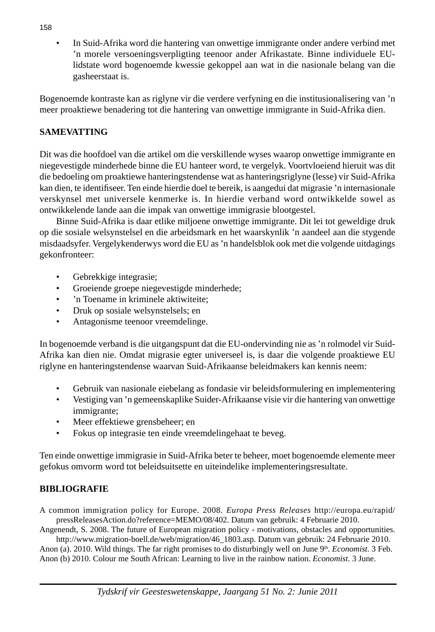• In Suid-Afrika word die hantering van onwettige immigrante onder andere verbind met 'n morele versoeningsverpligting teenoor ander Afrikastate. Binne individuele EUlidstate word bogenoemde kwessie gekoppel aan wat in die nasionale belang van die gasheerstaat is.

Bogenoemde kontraste kan as riglyne vir die verdere verfyning en die institusionalisering van 'n meer proaktiewe benadering tot die hantering van onwettige immigrante in Suid-Afrika dien.

# **SAMEVATTING**

Dit was die hoofdoel van die artikel om die verskillende wyses waarop onwettige immigrante en niegevestigde minderhede binne die EU hanteer word, te vergelyk. Voortvloeiend hieruit was dit die bedoeling om proaktiewe hanteringstendense wat as hanteringsriglyne (lesse) vir Suid-Afrika kan dien, te identifiseer. Ten einde hierdie doel te bereik, is aangedui dat migrasie 'n internasionale verskynsel met universele kenmerke is. In hierdie verband word ontwikkelde sowel as ontwikkelende lande aan die impak van onwettige immigrasie blootgestel.

 Binne Suid-Afrika is daar etlike miljoene onwettige immigrante. Dit lei tot geweldige druk op die sosiale welsynstelsel en die arbeidsmark en het waarskynlik 'n aandeel aan die stygende misdaadsyfer. Vergelykenderwys word die EU as 'n handelsblok ook met die volgende uitdagings gekonfronteer:

- Gebrekkige integrasie;
- Groeiende groepe niegevestigde minderhede;
- 'n Toename in kriminele aktiwiteite;
- Druk op sosiale welsynstelsels: en
- Antagonisme teenoor vreemdelinge.

In bogenoemde verband is die uitgangspunt dat die EU-ondervinding nie as 'n rolmodel vir Suid-Afrika kan dien nie. Omdat migrasie egter universeel is, is daar die volgende proaktiewe EU riglyne en hanteringstendense waarvan Suid-Afrikaanse beleidmakers kan kennis neem:

- Gebruik van nasionale eiebelang as fondasie vir beleidsformulering en implementering
- Vestiging van 'n gemeenskaplike Suider-Afrikaanse visie vir die hantering van onwettige immigrante;
- Meer effektiewe grensbeheer; en
- Fokus op integrasie ten einde vreemdelingehaat te beveg.

Ten einde onwettige immigrasie in Suid-Afrika beter te beheer, moet bogenoemde elemente meer gefokus omvorm word tot beleidsuitsette en uiteindelike implementeringsresultate.

# **BIBLIOGRAFIE**

A common immigration policy for Europe. 2008. *Europa Press Releases* http://europa.eu/rapid/ pressReleasesAction.do?reference=MEMO/08/402. Datum van gebruik: 4 Februarie 2010.

Angenendt, S. 2008. The future of European migration policy - motivations, obstacles and opportunities. http://www.migration-boell.de/web/migration/46\_1803.asp. Datum van gebruik: 24 Februarie 2010.

Anon (a). 2010. Wild things. The far right promises to do disturbingly well on June 9th. *Economist.* 3 Feb. Anon (b) 2010. Colour me South African: Learning to live in the rainbow nation. *Economist*. 3 June.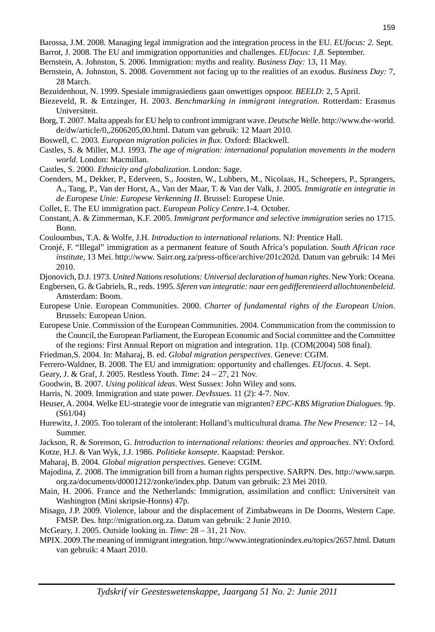- Barossa, J.M. 2008. Managing legal immigration and the integration process in the EU. *EUfocus: 2.* Sept.
- Barrot, J. 2008. The EU and immigration opportunities and challenges. *EUfocus: 1,8.* September.
- Bernstein, A. Johnston, S. 2006. Immigration: myths and reality. *Business Day:* 13, 11 May.
- Bernstein, A. Johnston, S. 2008. Government not facing up to the realities of an exodus. *Business Day:* 7, 28 March.
- Bezuidenhout, N. 1999. Spesiale immigrasiediens gaan onwettiges opspoor. *BEELD:* 2, 5 April.
- Biezeveld, R. & Entzinger, H. 2003. *Benchmarking in immigrant integration*. Rotterdam: Erasmus Universiteit.
- Borg, T. 2007. Malta appeals for EU help to confront immigrant wave. *Deutsche Welle.* http://www.dw-world. de/dw/article/0,,2606205,00.html. Datum van gebruik: 12 Maart 2010.
- Boswell, C. 2003. *European migration policies in flux*. Oxford: Blackwell.
- Castles, S. & Miller, M.J. 1993. *The age of migration: international population movements in the modern world*. London: Macmillan.
- Castles, S. 2000. *Ethnicity and globalization*. London: Sage.
- Coenders, M., Dekker, P., Ederveen, S., Joosten, W., Lubbers, M., Nicolaas, H., Scheepers, P., Sprangers, A., Tang, P., Van der Horst, A., Van der Maar, T. & Van der Valk, J. 2005*. Immigratie en integratie in de Europese Unie: Europese Verkenning II*. Brussel: Europese Unie.
- Collet, E. The EU immigration pact. *European Policy Centre.*1-4. October.
- Constant, A. & Zimmerman, K.F. 2005. *Immigrant performance and selective immigration* series no 1715. Bonn.
- Couloumbus, T.A. & Wolfe, J.H*. Introduction to international relations*. NJ: Prentice Hall.
- Cronjé, F. "Illegal" immigration as a permanent feature of South Africa's population. *South African race institute*, 13 Mei. http://www. Sairr.org.za/press-office/archive/201c202d. Datum van gebruik: 14 Mei 2010.
- Djonovich, D.J. 1973. *United Nations resolutions: Universal declaration of human rights*. New York: Oceana.
- Engbersen, G. & Gabriels, R., reds. 1995. *Sferen van integratie: naar een gedifferentieerd allochtonenbeleid*. Amsterdam: Boom.
- Europese Unie. European Communities. 2000. *Charter of fundamental rights of the European Union*. Brussels: European Union.
- Europese Unie. Commission of the European Communities. 2004. Communication from the commission to the Council, the European Parliament, the European Economic and Social committee and the Committee of the regions: First Annual Report on migration and integration. 11p. (COM(2004) 508 final).
- Friedman,S. 2004. In: Maharaj, B. ed. *Global migration perspectives*. Geneve: CGIM.
- Ferrero-Waldner, B. 2008. The EU and immigration: opportunity and challenges. *EUfocus*. 4. Sept.
- Geary, J. & Graf, J. 2005. Restless Youth. *Time*: 24 27, 21 Nov.
- Goodwin, B. 2007. *Using political ideas*. West Sussex: John Wiley and sons.
- Harris, N. 2009. Immigration and state power. *DevIssues.* 11 (2): 4-7. Nov.
- Heuser, A. 2004. Welke EU-strategie voor de integratie van migranten? *EPC-KBS Migration Dialogues*. 9p. (S61/04)
- Hurewitz, J. 2005. Too tolerant of the intolerant: Holland's multicultural drama. *The New Presence:* 12 14, Summer.
- Jackson, R. & Sorenson, G. *Introduction to international relations: theories and approaches*. NY: Oxford.
- Kotze, H.J. & Van Wyk, J.J. 1986. *Politieke konsepte*. Kaapstad: Perskor.
- Maharaj, B. 2004*. Global migration perspectives*. Geneve: CGIM.
- Majodina, Z. 2008. The immigration bill from a human rights perspective. SARPN. Des. http://www.sarpn. org.za/documents/d0001212/zonke/index.php. Datum van gebruik: 23 Mei 2010.
- Main, H. 2006. France and the Netherlands: Immigration, assimilation and conflict: Universiteit van Washington (Mini skripsie-Honns) 47p.
- Misago, J.P. 2009. Violence, labour and the displacement of Zimbabweans in De Doorns, Western Cape. FMSP. Des. http://migration.org.za. Datum van gebruik: 2 Junie 2010.
- McGeary, J. 2005. Outside looking in. *Time*: 28 31, 21 Nov.
- MPIX. 2009.The meaning of immigrant integration. http://www.integrationindex.eu/topics/2657.html*.* Datum van gebruik: 4 Maart 2010.